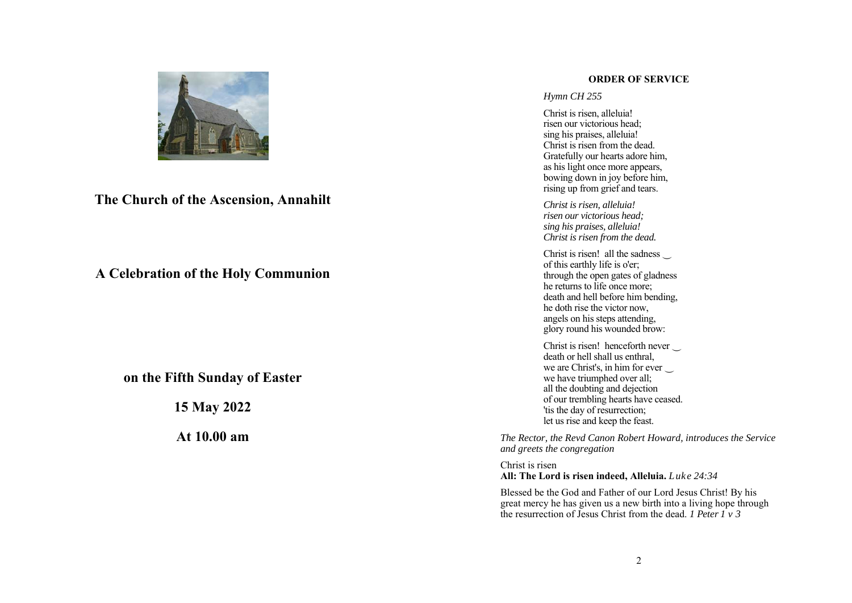

**The Church of the Ascension, Annahilt**

**A Celebration of the Holy Communion** 

**on the Fifth Sunday of Easter** 

**15 May 2022** 

**At 10.00 am** 

#### **ORDER OF SERVICE**

## *Hymn CH 255*

Christ is risen, alleluia! risen our victorious head; sing his praises, alleluia! Christ is risen from the dead. Gratefully our hearts adore him, as his light once more appears, bowing down in joy before him, rising up from grief and tears.

*Christ is risen, alleluia! risen our victorious head; sing his praises, alleluia! Christ is risen from the dead.*

Christ is risen! all the sadness of this earthly life is o'er; through the open gates of gladness he returns to life once more; death and hell before him bending, he doth rise the victor now, angels on his steps attending, glory round his wounded brow:

Christ is risen! henceforth never death or hell shall us enthral, we are Christ's, in him for ever ‿ we have triumphed over all; all the doubting and dejection of our trembling hearts have ceased. 'tis the day of resurrection; let us rise and keep the feast.

*The Rector, the Revd Canon Robert Howard, introduces the Service and greets the congregation* 

Christ is risen **All: The Lord is risen indeed, Alleluia.** *Luke 24:34*

Blessed be the God and Father of our Lord Jesus Christ! By his great mercy he has given us a new birth into a living hope through the resurrection of Jesus Christ from the dead. *1 Peter 1 v 3*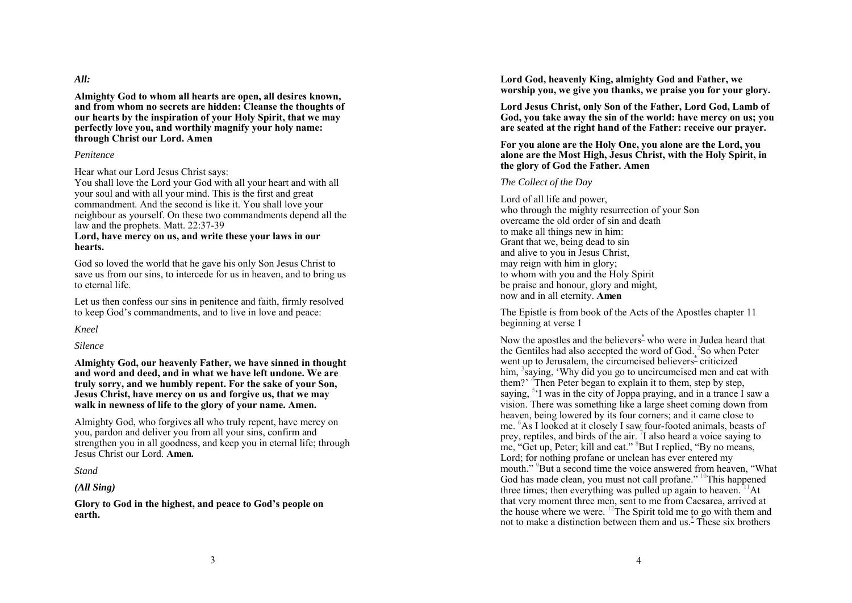*All:* 

**Almighty God to whom all hearts are open, all desires known, and from whom no secrets are hidden: Cleanse the thoughts of our hearts by the inspiration of your Holy Spirit, that we may perfectly love you, and worthily magnify your holy name: through Christ our Lord. Amen** 

#### *Penitence*

Hear what our Lord Jesus Christ says:

You shall love the Lord your God with all your heart and with all your soul and with all your mind. This is the first and great commandment. And the second is like it. You shall love your neighbour as yourself. On these two commandments depend all the law and the prophets. Matt. 22:37-39

#### **Lord, have mercy on us, and write these your laws in our hearts.**

God so loved the world that he gave his only Son Jesus Christ to save us from our sins, to intercede for us in heaven, and to bring us to eternal life.

Let us then confess our sins in penitence and faith, firmly resolved to keep God's commandments, and to live in love and peace:

*Kneel* 

*Silence* 

**Almighty God, our heavenly Father, we have sinned in thought and word and deed, and in what we have left undone. We are truly sorry, and we humbly repent. For the sake of your Son, Jesus Christ, have mercy on us and forgive us, that we may walk in newness of life to the glory of your name. Amen.** 

Almighty God, who forgives all who truly repent, have mercy on you, pardon and deliver you from all your sins, confirm and strengthen you in all goodness, and keep you in eternal life; through Jesus Christ our Lord. **Amen.** 

*Stand* 

*(All Sing)* 

**Glory to God in the highest, and peace to God's people on earth.** 

**Lord God, heavenly King, almighty God and Father, we worship you, we give you thanks, we praise you for your glory.** 

**Lord Jesus Christ, only Son of the Father, Lord God, Lamb of God, you take away the sin of the world: have mercy on us; you are seated at the right hand of the Father: receive our prayer.**

**For you alone are the Holy One, you alone are the Lord, you alone are the Most High, Jesus Christ, with the Holy Spirit, in the glory of God the Father. Amen**

#### *The Collect of the Day*

Lord of all life and power, who through the mighty resurrection of your Son overcame the old order of sin and death to make all things new in him: Grant that we, being dead to sin and alive to you in Jesus Christ, may reign with him in glory; to whom with you and the Holy Spirit be praise and honour, glory and might, now and in all eternity. **Amen** 

The Epistle is from book of the Acts of the Apostles chapter 11 beginning at verse 1

Now the apostles and the believers<sup>\*</sup> who were in Judea heard that the Gentiles had also accepted the word of God. <sup>2</sup>So when Peter went up to Jerusalem, the circumcised believers<sup>\*</sup> criticized him, <sup>3</sup>saying, 'Why did you go to uncircumcised men and eat with them?' <sup>4</sup>Then Peter began to explain it to them, step by step, saying, <sup>5,</sup> I was in the city of Joppa praying, and in a trance I saw a vision. There was something like a large sheet coming down from heaven, being lowered by its four corners; and it came close to me. 6As I looked at it closely I saw four-footed animals, beasts of prey, reptiles, and birds of the air.  $\overline{I}$  also heard a voice saying to me, "Get up, Peter; kill and eat." <sup>8</sup>But I replied, "By no means, Lord; for nothing profane or unclean has ever entered my mouth." <sup>9</sup>But a second time the voice answered from heaven. "What God has made clean, you must not call profane." <sup>10</sup>This happened three times; then everything was pulled up again to heaven.  $11$ At that very moment three men, sent to me from Caesarea, arrived at the house where we were.  $^{12}$ The Spirit told me to go with them and not to make a distinction between them and us.<sup>\*</sup> These six brothers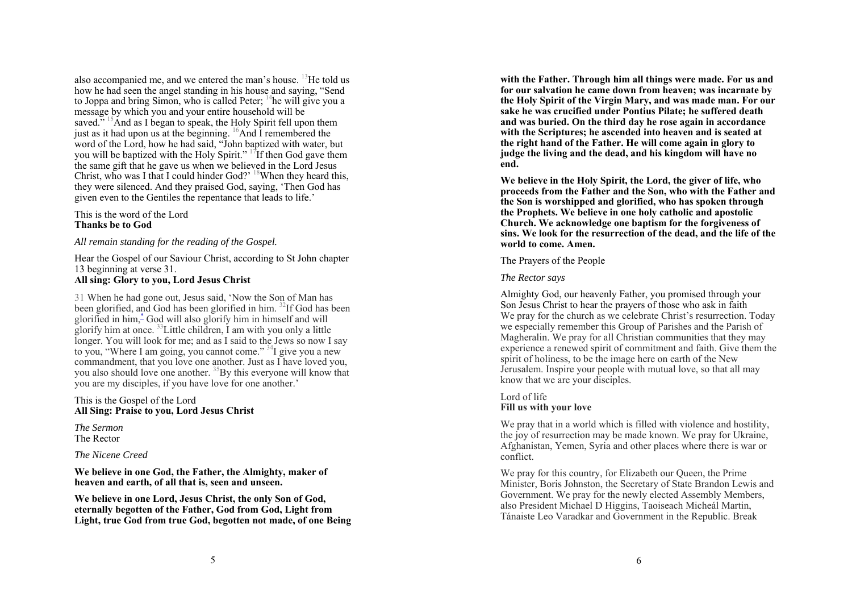also accompanied me, and we entered the man's house.  $^{13}$ He told us how he had seen the angel standing in his house and saying, "Send to Joppa and bring Simon, who is called Peter;  $^{14}$ he will give you a message by which you and your entire household will be saved." <sup>15</sup>And as I began to speak, the Holy Spirit fell upon them just as it had upon us at the beginning.  $^{16}$ And I remembered the word of the Lord, how he had said, "John baptized with water, but you will be baptized with the Holy Spirit."  $17$ If then God gave them the same gift that he gave us when we believed in the Lord Jesus Christ, who was I that I could hinder God?'  $18$ When they heard this, they were silenced. And they praised God, saying, 'Then God has given even to the Gentiles the repentance that leads to life.'

This is the word of the Lord **Thanks be to God** 

*All remain standing for the reading of the Gospel.* 

Hear the Gospel of our Saviour Christ, according to St John chapter 13 beginning at verse 31. **All sing: Glory to you, Lord Jesus Christ** 

31 When he had gone out, Jesus said, 'Now the Son of Man has been glorified, and God has been glorified in him. 32If God has been <sup>g</sup>lorified in him,\* God will also glorify him in himself and will glorify him at once.  $33$  Little children, I am with you only a little longer. You will look for me; and as I said to the Jews so now I say to you, "Where I am going, you cannot come."  $34I$  give you a new commandment, that you love one another. Just as I have loved you, you also should love one another. <sup>35</sup>By this everyone will know that you are my disciples, if you have love for one another.'

This is the Gospel of the Lord **All Sing: Praise to you, Lord Jesus Christ** 

*The Sermon*  The Rector

*The Nicene Creed* 

**We believe in one God, the Father, the Almighty, maker of heaven and earth, of all that is, seen and unseen.** 

**We believe in one Lord, Jesus Christ, the only Son of God, eternally begotten of the Father, God from God, Light from Light, true God from true God, begotten not made, of one Being**  **with the Father. Through him all things were made. For us and for our salvation he came down from heaven; was incarnate by the Holy Spirit of the Virgin Mary, and was made man. For our sake he was crucified under Pontius Pilate; he suffered death and was buried. On the third day he rose again in accordance with the Scriptures; he ascended into heaven and is seated at the right hand of the Father. He will come again in glory to judge the living and the dead, and his kingdom will have no end.** 

**We believe in the Holy Spirit, the Lord, the giver of life, who proceeds from the Father and the Son, who with the Father and the Son is worshipped and glorified, who has spoken through the Prophets. We believe in one holy catholic and apostolic Church. We acknowledge one baptism for the forgiveness of sins. We look for the resurrection of the dead, and the life of the world to come. Amen.** 

The Prayers of the People

# *The Rector says*

Almighty God, our heavenly Father, you promised through your Son Jesus Christ to hear the prayers of those who ask in faith We pray for the church as we celebrate Christ's resurrection. Today we especially remember this Group of Parishes and the Parish of Magheralin. We pray for all Christian communities that they may experience a renewed spirit of commitment and faith. Give them the spirit of holiness, to be the image here on earth of the New Jerusalem. Inspire your people with mutual love, so that all may know that we are your disciples.

# Lord of life **Fill us with your love**

We pray that in a world which is filled with violence and hostility, the joy of resurrection may be made known. We pray for Ukraine, Afghanistan, Yemen, Syria and other places where there is war or conflict.

We pray for this country, for Elizabeth our Queen, the Prime Minister, Boris Johnston, the Secretary of State Brandon Lewis and Government. We pray for the newly elected Assembly Members, also President Michael D Higgins, Taoiseach Micheál Martin, Tánaiste Leo Varadkar and Government in the Republic. Break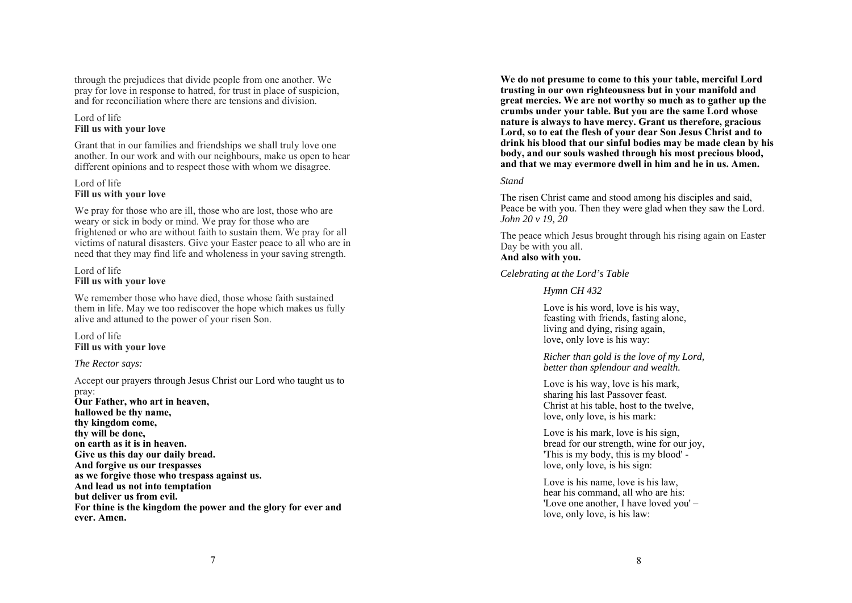through the prejudices that divide people from one another. We pray for love in response to hatred, for trust in place of suspicion, and for reconciliation where there are tensions and division.

# Lord of life **Fill us with your love**

Grant that in our families and friendships we shall truly love one another. In our work and with our neighbours, make us open to hear different opinions and to respect those with whom we disagree.

## Lord of life **Fill us with your love**

We pray for those who are ill, those who are lost, those who are weary or sick in body or mind. We pray for those who are frightened or who are without faith to sustain them. We pray for all victims of natural disasters. Give your Easter peace to all who are in need that they may find life and wholeness in your saving strength.

# Lord of life **Fill us with your love**

We remember those who have died, those whose faith sustained them in life. May we too rediscover the hope which makes us fully alive and attuned to the power of your risen Son.

Lord of life **Fill us with your love**

# *The Rector says:*

Accept our prayers through Jesus Christ our Lord who taught us to pray: **Our Father, who art in heaven, hallowed be thy name, thy kingdom come, thy will be done, on earth as it is in heaven. Give us this day our daily bread. And forgive us our trespasses as we forgive those who trespass against us. And lead us not into temptation but deliver us from evil. For thine is the kingdom the power and the glory for ever and ever. Amen.** 

**We do not presume to come to this your table, merciful Lord trusting in our own righteousness but in your manifold and great mercies. We are not worthy so much as to gather up the crumbs under your table. But you are the same Lord whose nature is always to have mercy. Grant us therefore, gracious Lord, so to eat the flesh of your dear Son Jesus Christ and to drink his blood that our sinful bodies may be made clean by his body, and our souls washed through his most precious blood, and that we may evermore dwell in him and he in us. Amen.**

*Stand* 

The risen Christ came and stood among his disciples and said, Peace be with you. Then they were glad when they saw the Lord. *John 20 v 19, 20*

The peace which Jesus brought through his rising again on Easter Day be with you all.

# **And also with you.**

*Celebrating at the Lord's Table* 

*Hymn CH 432* 

Love is his word, love is his way, feasting with friends, fasting alone, living and dying, rising again, love, only love is his way:

*Richer than gold is the love of my Lord, better than splendour and wealth.*

Love is his way, love is his mark, sharing his last Passover feast. Christ at his table, host to the twelve, love, only love, is his mark:

Love is his mark, love is his sign, bread for our strength, wine for our joy, 'This is my body, this is my blood' love, only love, is his sign:

Love is his name, love is his law, hear his command, all who are his: 'Love one another, I have loved you' – love, only love, is his law: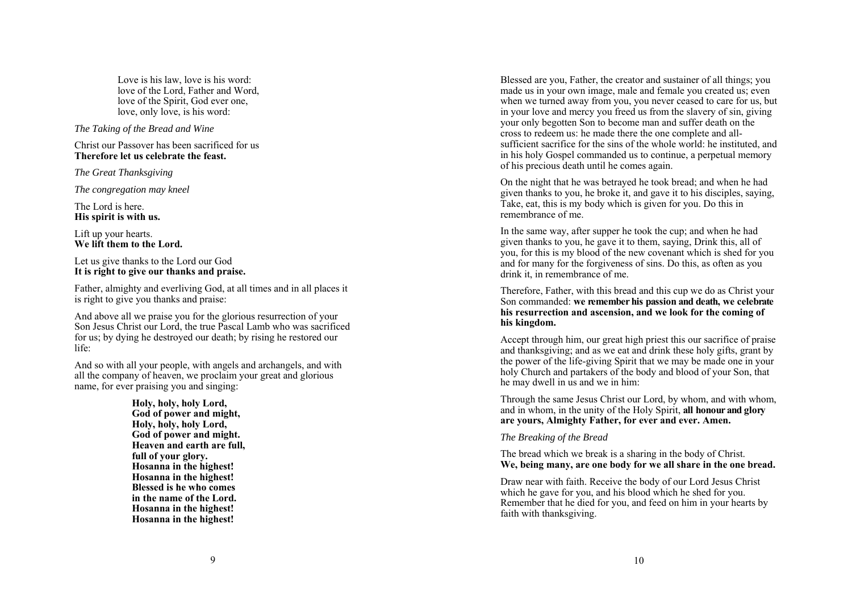Love is his law, love is his word: love of the Lord, Father and Word, love of the Spirit, God ever one, love, only love, is his word:

#### *The Taking of the Bread and Wine*

Christ our Passover has been sacrificed for us **Therefore let us celebrate the feast.** 

*The Great Thanksgiving* 

*The congregation may kneel* 

The Lord is here. **His spirit is with us.** 

Lift up your hearts. **We lift them to the Lord.** 

Let us give thanks to the Lord our God **It is right to give our thanks and praise.** 

Father, almighty and everliving God, at all times and in all places it is right to give you thanks and praise:

And above all we praise you for the glorious resurrection of your Son Jesus Christ our Lord, the true Pascal Lamb who was sacrificed for us; by dying he destroyed our death; by rising he restored our life:

And so with all your people, with angels and archangels, and with all the company of heaven, we proclaim your great and glorious name, for ever praising you and singing:

> **Holy, holy, holy Lord, God of power and might, Holy, holy, holy Lord, God of power and might. Heaven and earth are full, full of your glory. Hosanna in the highest! Hosanna in the highest! Blessed is he who comes in the name of the Lord. Hosanna in the highest! Hosanna in the highest!**

Blessed are you, Father, the creator and sustainer of all things; you made us in your own image, male and female you created us; even when we turned away from you, you never ceased to care for us, but in your love and mercy you freed us from the slavery of sin, giving your only begotten Son to become man and suffer death on the cross to redeem us: he made there the one complete and allsufficient sacrifice for the sins of the whole world: he instituted, and in his holy Gospel commanded us to continue, a perpetual memory of his precious death until he comes again.

On the night that he was betrayed he took bread; and when he had given thanks to you, he broke it, and gave it to his disciples, saying, Take, eat, this is my body which is given for you. Do this in remembrance of me.

In the same way, after supper he took the cup; and when he had given thanks to you, he gave it to them, saying, Drink this, all of you, for this is my blood of the new covenant which is shed for you and for many for the forgiveness of sins. Do this, as often as you drink it, in remembrance of me.

Therefore, Father, with this bread and this cup we do as Christ your Son commanded: **we remember his passion and death, we celebrate his resurrection and ascension, and we look for the coming of his kingdom.** 

Accept through him, our great high priest this our sacrifice of praise and thanksgiving; and as we eat and drink these holy gifts, grant by the power of the life-giving Spirit that we may be made one in your holy Church and partakers of the body and blood of your Son, that he may dwell in us and we in him:

Through the same Jesus Christ our Lord, by whom, and with whom, and in whom, in the unity of the Holy Spirit, **all honour and glory are yours, Almighty Father, for ever and ever. Amen.** 

#### *The Breaking of the Bread*

The bread which we break is a sharing in the body of Christ. **We, being many, are one body for we all share in the one bread.**

Draw near with faith. Receive the body of our Lord Jesus Christ which he gave for you, and his blood which he shed for you. Remember that he died for you, and feed on him in your hearts by faith with thanksgiving.